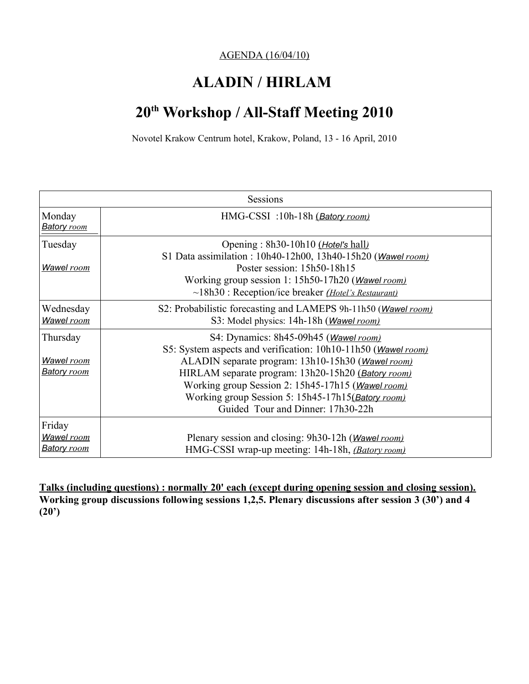## AGENDA (16/04/10)

## **ALADIN / HIRLAM**

# **20th Workshop / All-Staff Meeting 2010**

Novotel Krakow Centrum hotel, Krakow, Poland, 13 - 16 April, 2010

| Sessions                                     |                                                                                                                                                                                                                                                                                                                                                                  |  |  |  |  |
|----------------------------------------------|------------------------------------------------------------------------------------------------------------------------------------------------------------------------------------------------------------------------------------------------------------------------------------------------------------------------------------------------------------------|--|--|--|--|
| Monday<br><b>Batory</b> room                 | HMG-CSSI :10h-18h (Batory room)                                                                                                                                                                                                                                                                                                                                  |  |  |  |  |
| Tuesday                                      | Opening: 8h30-10h10 ( <i>Hotel's</i> hall)<br>S1 Data assimilation: 10h40-12h00, 13h40-15h20 (Wawel room)                                                                                                                                                                                                                                                        |  |  |  |  |
| Wawel room                                   | Poster session: 15h50-18h15<br>Working group session 1: 15h50-17h20 ( <i>Wawel room</i> )<br>$\sim$ 18h30 : Reception/ice breaker (Hotel's Restaurant)                                                                                                                                                                                                           |  |  |  |  |
| Wednesday<br>Wawel room                      | S2: Probabilistic forecasting and LAMEPS 9h-11h50 (Wawel room)<br>S3: Model physics: 14h-18h ( <i>Wawel room</i> )                                                                                                                                                                                                                                               |  |  |  |  |
| Thursday<br>Wawel room<br><b>Batory</b> room | S4: Dynamics: 8h45-09h45 (Wawel room)<br>S5: System aspects and verification: 10h10-11h50 (Wawel room)<br>ALADIN separate program: 13h10-15h30 (Wawel room)<br>HIRLAM separate program: 13h20-15h20 (Batory room)<br>Working group Session 2: 15h45-17h15 (Wawel room)<br>Working group Session 5: 15h45-17h15(Batory room)<br>Guided Tour and Dinner: 17h30-22h |  |  |  |  |
| Friday<br>Wawel room<br><b>Batory room</b>   | Plenary session and closing: 9h30-12h (Wawel room)<br>HMG-CSSI wrap-up meeting: 14h-18h, (Batory room)                                                                                                                                                                                                                                                           |  |  |  |  |

**Talks (including questions) : normally 20' each (except during opening session and closing session). Working group discussions following sessions 1,2,5. Plenary discussions after session 3 (30') and 4 (20')**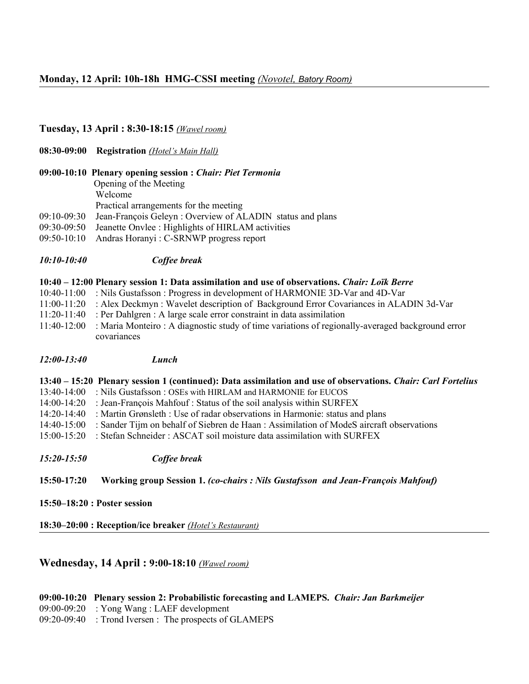#### **Tuesday, 13 April : 8:30-18:15** *( Wawel room )*

## **08:30-09:00 Registration** *( Hotel's Main Hall )*

#### **09:00-10:10 Plenary opening session :** *Chair: Piet Termonia*

 Opening of the Meeting Welcome

Practical arrangements for the meeting

- 09:10-09:30 Jean-François Geleyn : Overview of ALADIN status and plans
- 09:30-09:50 Jeanette Onvlee : Highlights of HIRLAM activities
- 09:50-10:10 Andras Horanyi : C-SRNWP progress report

#### *10:10-10:40 Coffee break*

#### **10:40 – 12:00 Plenary session 1: Data assimilation and use of observations.** *Chair: Loïk Berre*

- 10:40-11:00 : Nils Gustafsson : Progress in development of HARMONIE 3D-Var and 4D-Var
- 11:00-11:20 : Alex Deckmyn : Wavelet description of Background Error Covariances in ALADIN 3d-Var
- 11:20-11:40 : Per Dahlgren : A large scale error constraint in data assimilation
- 11:40-12:00 : Maria Monteiro : A diagnostic study of time variations of regionally-averaged background error covariances

#### *12:00-13:40 Lunch*

#### **13:40 – 15:20 Plenary session 1 (continued): Data assimilation and use of observations.** *Chair: Carl Fortelius*

- 13:40-14:00 : Nils Gustafsson : OSEs with HIRLAM and HARMONIE for EUCOS
- 14:00-14:20 : Jean-François Mahfouf : Status of the soil analysis within SURFEX
- 14:20-14:40 : Martin Grønsleth : Use of radar observations in Harmonie: status and plans
- 14:40-15:00 : Sander Tijm on behalf of Siebren de Haan : Assimilation of ModeS aircraft observations
- 15:00-15:20 : Stefan Schneider : ASCAT soil moisture data assimilation with SURFEX
- *15:20-15:50 Coffee break*

#### **15:50-17:20 Working group Session 1.** *(co-chairs : Nils Gustafsson and Jean-François Mahfouf)*

**15:50–18:20 : Poster session**

18:30-20:00 : Reception/ice breaker *(Hotel's Restaurant)* 

## **Wednesday, 14 April : 9:00-18:10** *( Wawel room )*

## **09:00-10:20 Plenary session 2: Probabilistic forecasting and LAMEPS.** *Chair: Jan Barkmeijer*

09:00-09:20 : Yong Wang : LAEF development

09:20-09:40 : Trond Iversen : The prospects of GLAMEPS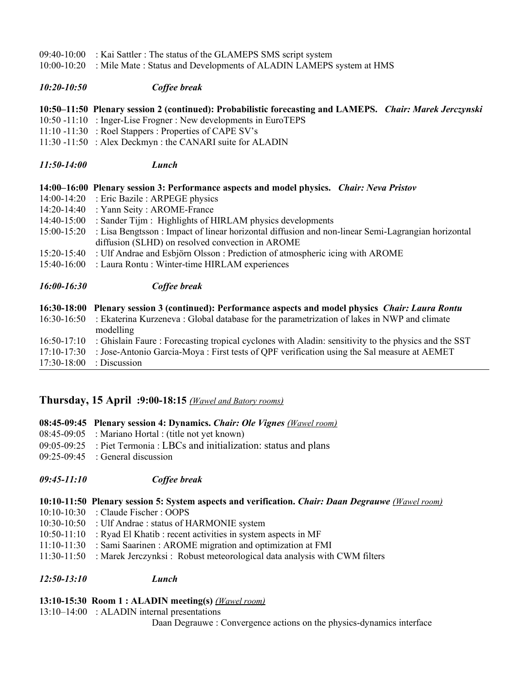- 09:40-10:00 : Kai Sattler : The status of the GLAMEPS SMS script system
- 10:00-10:20 : Mile Mate : Status and Developments of ALADIN LAMEPS system at HMS

#### *10:20-10:50 Coffee break*

#### **10:50–11:50 Plenary session 2 (continued): Probabilistic forecasting and LAMEPS.** *Chair: Marek Jerczynski*

- 10:50 -11:10 : Inger-Lise Frogner : New developments in EuroTEPS
- 11:10 -11:30 : Roel Stappers : Properties of CAPE SV's
- 11:30 -11:50 : Alex Deckmyn : the CANARI suite for ALADIN

#### *11:50-14:00 Lunch*

## **14:00–16:00 Plenary session 3: Performance aspects and model physics.** *Chair: Neva Pristov*

- 14:00-14:20 : Eric Bazile : ARPEGE physics
- 14:20-14:40 : Yann Seity : AROME-France
- 14:40-15:00 : Sander Tijm : Highlights of HIRLAM physics developments
- 15:00-15:20 : Lisa Bengtsson : Impact of linear horizontal diffusion and non-linear Semi-Lagrangian horizontal diffusion (SLHD) on resolved convection in AROME
- 15:20-15:40 : Ulf Andrae and Esbjörn Olsson : Prediction of atmospheric icing with AROME
- 15:40-16:00 : Laura Rontu : Winter-time HIRLAM experiences

## *16:00-16:30 Coffee break*

| 16:30-18:00 Plenary session 3 (continued): Performance aspects and model physics <i>Chair: Laura Rontu</i>       |
|------------------------------------------------------------------------------------------------------------------|
| 16:30-16:50 : Ekaterina Kurzeneva : Global database for the parametrization of lakes in NWP and climate          |
| modelling                                                                                                        |
| 16:50-17:10 : Ghislain Faure : Forecasting tropical cyclones with Aladin: sensitivity to the physics and the SST |
| 17:10-17:30 : Jose-Antonio Garcia-Moya : First tests of QPF verification using the Sal measure at AEMET          |
| $17:30-18:00$ : Discussion                                                                                       |

## **Thursday, 15 April :9:00-18:15** *( Wawel and Batory rooms )*

#### **08:45-09:45 Plenary session 4: Dynamics.** *Chair: Ole Vignes (Wawel room)*

- 08:45-09:05 : Mariano Hortal : (title not yet known)
- 09:05-09:25 : Piet Termonia : LBCs and initialization: status and plans
- 09:25-09:45 : General discussion

## *09:45-11:10 Coffee break*

## **10:10-11:50 Plenary session 5: System aspects and verification.** *Chair: Daan Degrauwe ( Wawel room )*

- 10:10-10:30 : Claude Fischer : OOPS
- 10:30-10:50 : Ulf Andrae : status of HARMONIE system
- 10:50-11:10 : Ryad El Khatib : recent activities in system aspects in MF
- 11:10-11:30 : Sami Saarinen : AROME migration and optimization at FMI
- 11:30-11:50 : Marek Jerczynksi : Robust meteorological data analysis with CWM filters

#### *12:50-13:10 Lunch*

#### **13:10-15:30 Room 1 : ALADIN meeting(s)** *(Wawel room)*

13:10–14:00 : ALADIN internal presentations

Daan Degrauwe : Convergence actions on the physics-dynamics interface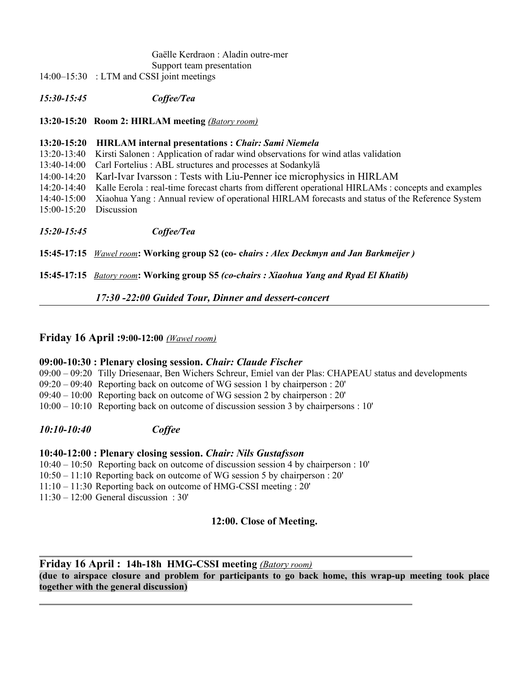|                 | Gaëlle Kerdraon : Aladin outre-mer<br>Support team presentation                                     |
|-----------------|-----------------------------------------------------------------------------------------------------|
|                 | $14:00-15:30$ : LTM and CSSI joint meetings                                                         |
| 15:30-15:45     | Coffee/Tea                                                                                          |
|                 | 13:20-15:20 Room 2: HIRLAM meeting (Batory room)                                                    |
| $13:20-15:20$   | <b>HIRLAM</b> internal presentations: <i>Chair: Sami Niemela</i>                                    |
| $13:20-13:40$   | Kirsti Salonen: Application of radar wind observations for wind atlas validation                    |
| $13:40-14:00$   | Carl Fortelius : ABL structures and processes at Sodankylä                                          |
| $14:00 - 14:20$ | Karl-Ivar Ivarsson: Tests with Liu-Penner ice microphysics in HIRLAM                                |
| 14:20-14:40     | Kalle Eerola : real-time forecast charts from different operational HIRLAMs : concepts and examples |
| $14:40-15:00$   | Xiaohua Yang : Annual review of operational HIRLAM forecasts and status of the Reference System     |
| $15:00-15:20$   | Discussion                                                                                          |
| $15:20 - 15:45$ | Coffee/Tea                                                                                          |
| 15:45-17:15     | <u><i>Wawel room:</i></u> Working group S2 (co- chairs : Alex Deckmyn and Jan Barkmeijer)           |
|                 | 15:45-17:15 <i>Batory room</i> : Working group S5 (co-chairs : Xiaohua Yang and Ryad El Khatib)     |

## *17:30 -22:00 Guided Tour, Dinner and dessert-concert*

 $G \times \mathbb{R}$  is a  $H \times \mathbb{R}$  in the mergeral of  $\mathbb{R}$  in the mergeral of  $\mathbb{R}$  in the mergeral of  $\mathbb{R}$  in the mergeral of  $\mathbb{R}$  in the mergeral of  $\mathbb{R}$  in the mergeral of  $\mathbb{R}$  in the mergeral of  $\mathbb{$ 

#### **Friday 16 April :9:00-12:00** *( Wawel room )*

#### **09:00-10:30 : Plenary closing session.** *Chair: Claude Fischer*

- 09:00 09:20 Tilly Driesenaar, Ben Wichers Schreur, Emiel van der Plas: CHAPEAU status and developments
- 09:20 09:40 Reporting back on outcome of WG session 1 by chairperson : 20'
- 09:40 10:00 Reporting back on outcome of WG session 2 by chairperson : 20'
- 10:00 10:10 Reporting back on outcome of discussion session 3 by chairpersons : 10'

## *10:10-10:40 Coffee*

## **10:40-12:00 : Plenary closing session.** *Chair: Nils Gustafsson*

10:40 – 10:50 Reporting back on outcome of discussion session 4 by chairperson : 10'

- 10:50 11:10 Reporting back on outcome of WG session 5 by chairperson : 20'
- 11:10 11:30 Reporting back on outcome of HMG-CSSI meeting : 20'
- 11:30 12:00 General discussion : 30'

## **12:00. Close of Meeting.**

## **Friday 16 April : 14h-18h HMG-CSSI meeting** *(Batory room)*

**(due to airspace closure and problem for participants to go back home, this wrap-up meeting took place together with the general discussion)**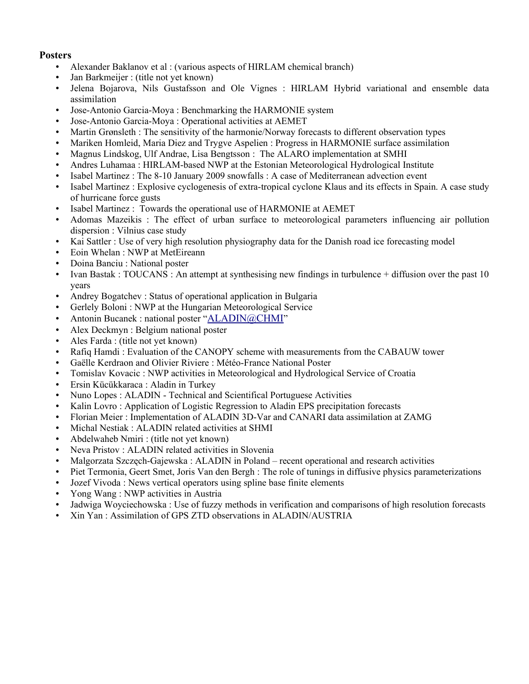## **Posters**

- Alexander Baklanov et al : (various aspects of HIRLAM chemical branch)
- Jan Barkmeijer : (title not yet known)
- Jelena Bojarova, Nils Gustafsson and Ole Vignes : HIRLAM Hybrid variational and ensemble data assimilation
- Jose-Antonio Garcia-Moya : Benchmarking the HARMONIE system
- Jose-Antonio Garcia-Moya : Operational activities at AEMET
- Martin Grønsleth : The sensitivity of the harmonie/Norway forecasts to different observation types
- Mariken Homleid, Maria Diez and Trygve Aspelien : Progress in HARMONIE surface assimilation
- Magnus Lindskog, Ulf Andrae, Lisa Bengtsson : The ALARO implementation at SMHI
- Andres Luhamaa : HIRLAM-based NWP at the Estonian Meteorological Hydrological Institute
- Isabel Martinez : The 8-10 January 2009 snowfalls : A case of Mediterranean advection event
- Isabel Martinez : Explosive cyclogenesis of extra-tropical cyclone Klaus and its effects in Spain. A case study of hurricane force gusts
- Isabel Martinez : Towards the operational use of HARMONIE at AEMET
- Adomas Mazeikis : The effect of urban surface to meteorological parameters influencing air pollution dispersion : Vilnius case study
- Kai Sattler : Use of very high resolution physiography data for the Danish road ice forecasting model
- Eoin Whelan : NWP at MetEireann
- Doina Banciu : National poster
- Ivan Bastak : TOUCANS : An attempt at synthesising new findings in turbulence + diffusion over the past 10 years
- Andrey Bogatchev : Status of operational application in Bulgaria
- Gerlely Boloni : NWP at the Hungarian Meteorological Service
- Antonin Bucanek : national poster "[ALADIN@CHMI](mailto:ALADIN@CHMI)"
- Alex Deckmyn : Belgium national poster
- Ales Farda : (title not yet known)
- Rafiq Hamdi : Evaluation of the CANOPY scheme with measurements from the CABAUW tower
- Gaëlle Kerdraon and Olivier Riviere : Météo-France National Poster
- Tomislav Kovacic : NWP activities in Meteorological and Hydrological Service of Croatia
- Ersin Kücükkaraca : Aladin in Turkey
- Nuno Lopes : ALADIN Technical and Scientifical Portuguese Activities
- Kalin Lovro : Application of Logistic Regression to Aladin EPS precipitation forecasts
- Florian Meier : Implementation of ALADIN 3D-Var and CANARI data assimilation at ZAMG
- Michal Nestiak : ALADIN related activities at SHMI
- Abdelwaheb Nmiri : (title not yet known)
- Neva Pristov : ALADIN related activities in Slovenia
- Malgorzata Szczęch-Gajewska : ALADIN in Poland recent operational and research activities
- Piet Termonia, Geert Smet, Joris Van den Bergh : The role of tunings in diffusive physics parameterizations
- Jozef Vivoda : News vertical operators using spline base finite elements
- Yong Wang : NWP activities in Austria
- Jadwiga Woyciechowska : Use of fuzzy methods in verification and comparisons of high resolution forecasts
- Xin Yan : Assimilation of GPS ZTD observations in ALADIN/AUSTRIA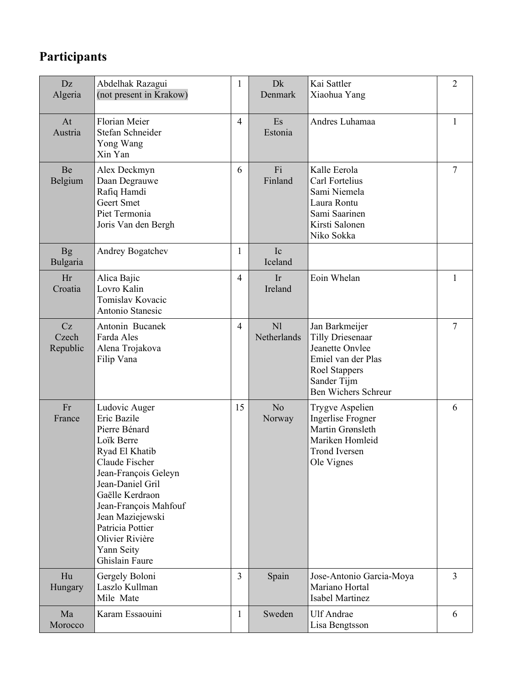# **Participants**

| Dz<br>Algeria                | Abdelhak Razagui<br>(not present in Krakow)                                                                                                                                                                                                                                        | 1              | Dk<br>Denmark                 | Kai Sattler<br>Xiaohua Yang                                                                                                                             | $\overline{2}$ |
|------------------------------|------------------------------------------------------------------------------------------------------------------------------------------------------------------------------------------------------------------------------------------------------------------------------------|----------------|-------------------------------|---------------------------------------------------------------------------------------------------------------------------------------------------------|----------------|
| At<br>Austria                | <b>Florian Meier</b><br>Stefan Schneider<br>Yong Wang<br>Xin Yan                                                                                                                                                                                                                   | $\overline{4}$ | Es<br>Estonia                 | Andres Luhamaa                                                                                                                                          | 1              |
| Be<br>Belgium                | Alex Deckmyn<br>Daan Degrauwe<br>Rafiq Hamdi<br>Geert Smet<br>Piet Termonia<br>Joris Van den Bergh                                                                                                                                                                                 | 6              | Fi<br>Finland                 | Kalle Eerola<br>Carl Fortelius<br>Sami Niemela<br>Laura Rontu<br>Sami Saarinen<br>Kirsti Salonen<br>Niko Sokka                                          | $\overline{7}$ |
| <b>Bg</b><br><b>Bulgaria</b> | Andrey Bogatchev                                                                                                                                                                                                                                                                   | 1              | Ic<br>Iceland                 |                                                                                                                                                         |                |
| Hr<br>Croatia                | Alica Bajic<br>Lovro Kalin<br>Tomislav Kovacic<br>Antonio Stanesic                                                                                                                                                                                                                 | $\overline{4}$ | Ir<br>Ireland                 | Eoin Whelan                                                                                                                                             | 1              |
| Cz<br>Czech<br>Republic      | Antonin Bucanek<br>Farda Ales<br>Alena Trojakova<br>Filip Vana                                                                                                                                                                                                                     | $\overline{4}$ | N <sub>1</sub><br>Netherlands | Jan Barkmeijer<br><b>Tilly Driesenaar</b><br>Jeanette Onvlee<br>Emiel van der Plas<br><b>Roel Stappers</b><br>Sander Tijm<br><b>Ben Wichers Schreur</b> | $\overline{7}$ |
| Fr<br>France                 | Ludovic Auger<br>Eric Bazile<br>Pierre Bénard<br>Loïk Berre<br>Ryad El Khatib<br>Claude Fischer<br>Jean-François Geleyn<br>Jean-Daniel Gril<br>Gaëlle Kerdraon<br>Jean-François Mahfouf<br>Jean Maziejewski<br>Patricia Pottier<br>Olivier Rivière<br>Yann Seity<br>Ghislain Faure | 15             | N <sub>o</sub><br>Norway      | Trygve Aspelien<br><b>Ingerlise Frogner</b><br>Martin Grønsleth<br>Mariken Homleid<br><b>Trond Iversen</b><br>Ole Vignes                                | 6              |
| Hu<br>Hungary                | Gergely Boloni<br>Laszlo Kullman<br>Mile Mate                                                                                                                                                                                                                                      | $\overline{3}$ | Spain                         | Jose-Antonio Garcia-Moya<br>Mariano Hortal<br><b>Isabel Martinez</b>                                                                                    | $\overline{3}$ |
| Ma<br>Morocco                | Karam Essaouini                                                                                                                                                                                                                                                                    | 1              | Sweden                        | <b>Ulf Andrae</b><br>Lisa Bengtsson                                                                                                                     | 6              |